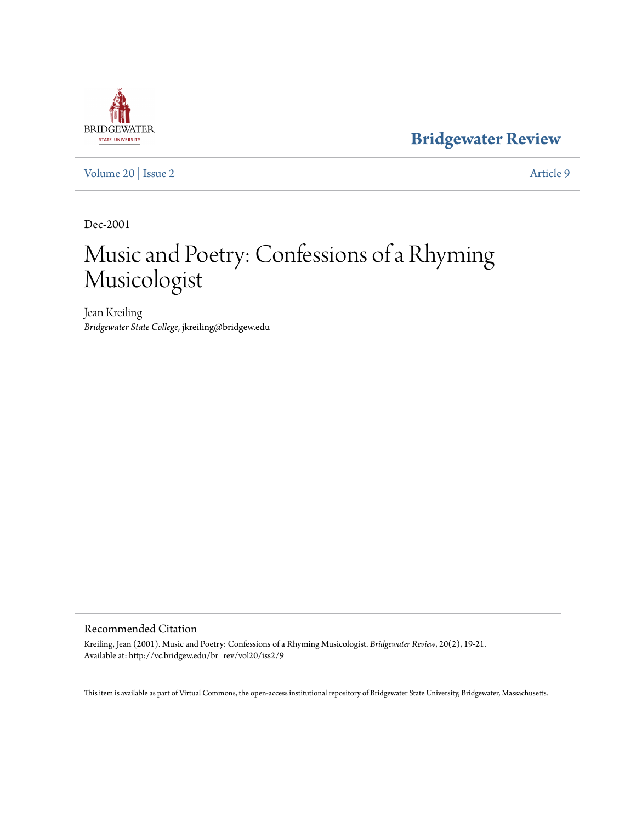# **BRIDGEWATER** STATE UNIVERSITY

**[Bridgewater Review](http://vc.bridgew.edu/br_rev)**

[Volume 20](http://vc.bridgew.edu/br_rev/vol20) | [Issue 2](http://vc.bridgew.edu/br_rev/vol20/iss2) [Article 9](http://vc.bridgew.edu/br_rev/vol20/iss2/9)

Dec-2001

## Music and Poetry: Confessions of a Rhyming Musicologist

Jean Kreiling *Bridgewater State College*, jkreiling@bridgew.edu

#### Recommended Citation

Kreiling, Jean (2001). Music and Poetry: Confessions of a Rhyming Musicologist. *Bridgewater Review*, 20(2), 19-21. Available at: http://vc.bridgew.edu/br\_rev/vol20/iss2/9

This item is available as part of Virtual Commons, the open-access institutional repository of Bridgewater State University, Bridgewater, Massachusetts.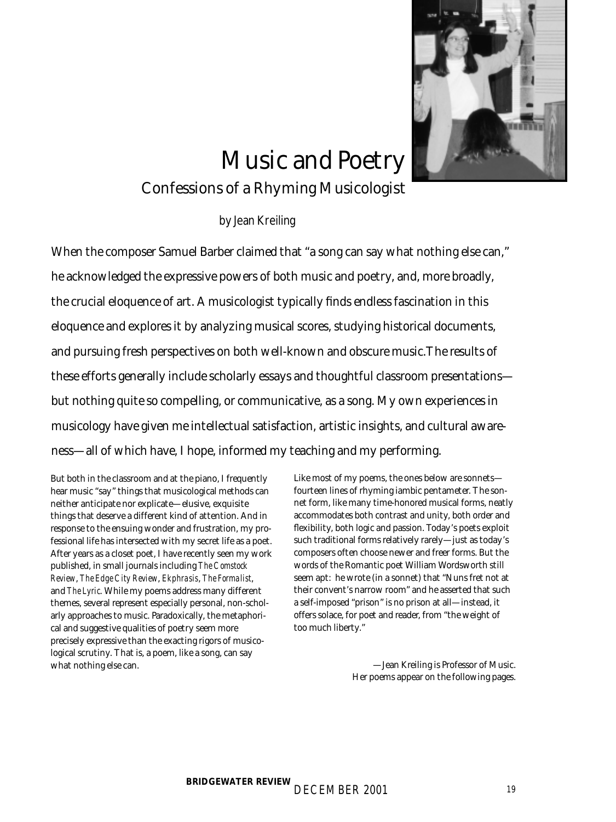

# Music and Poetry

## Confessions of a Rhyming Musicologist

#### by Jean Kreiling

When the composer Samuel Barber claimed that "a song can say what nothing else can," he acknowledged the expressive powers of both music and poetry, and, more broadly, the crucial eloquence of art. A musicologist typically finds endless fascination in this eloquence and explores it by analyzing musical scores, studying historical documents, and pursuing fresh perspectives on both well-known and obscure music.The results of these efforts generally include scholarly essays and thoughtful classroom presentations but nothing quite so compelling, or communicative, as a song. My own experiences in musicology have given me intellectual satisfaction, artistic insights, and cultural awareness—all of which have, I hope, informed my teaching and my performing.

But both in the classroom and at the piano, I frequently hear music "say" things that musicological methods can neither anticipate nor explicate—elusive, exquisite things that deserve a different kind of attention. And in response to the ensuing wonder and frustration, my professional life has intersected with my secret life as a poet. After years as a closet poet, I have recently seen my work published, in small journals including *The Comstock Review*, *The Edge City Review*, *Ekphrasis*, *The Formalist*, and *The Lyric*. While my poems address many different themes, several represent especially personal, non-scholarly approaches to music. Paradoxically, the metaphorical and suggestive qualities of poetry seem more precisely expressive than the exacting rigors of musicological scrutiny. That is, a poem, like a song, can say what nothing else can.

Like most of my poems, the ones below are sonnets fourteen lines of rhyming iambic pentameter. The sonnet form, like many time-honored musical forms, neatly accommodates both contrast and unity, both order and flexibility, both logic and passion. Today's poets exploit such traditional forms relatively rarely—just as today's composers often choose newer and freer forms. But the words of the Romantic poet William Wordsworth still seem apt: he wrote (in a sonnet) that "Nuns fret not at their convent's narrow room" and he asserted that such a self-imposed "prison" is no prison at all—instead, it offers solace, for poet and reader, from "the weight of too much liberty."

> —Jean Kreiling is Professor of Music. Her poems appear on the following pages.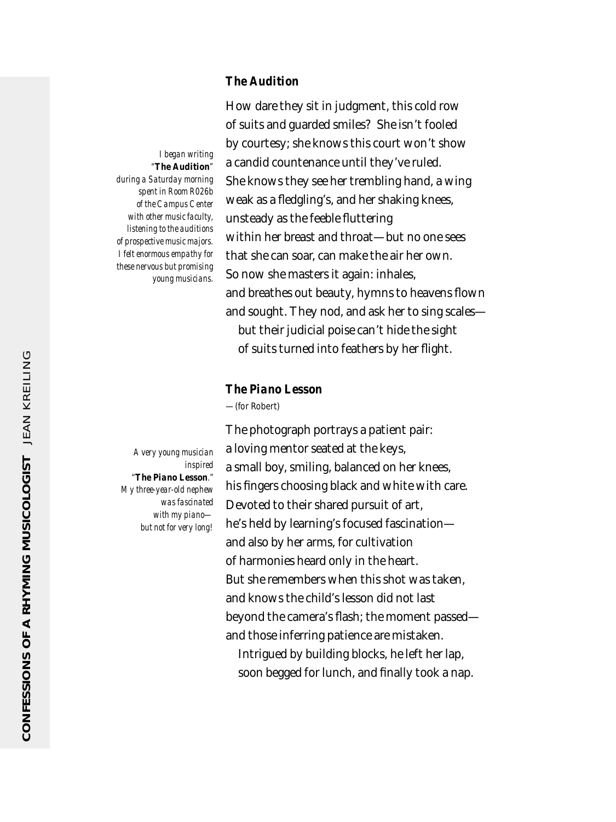#### *The Audition*

of suits and guarded smiles? She isn't fooled by courtesy; she knows this court won't show a candid countenance until they've ruled. She knows they see her trembling hand, a wing weak as a fledgling's, and her shaking knees, unsteady as the feeble fluttering within her breast and throat—but no one sees that she can soar, can make the air her own. So now she masters it again: inhales, and breathes out beauty, hymns to heavens flown and sought. They nod, and ask her to sing scales but their judicial poise can't hide the sight of suits turned into feathers by her flight.

How dare they sit in judgment, this cold row

#### *The Piano Lesson*

—(for Robert)

The photograph portrays a patient pair: a loving mentor seated at the keys, a small boy, smiling, balanced on her knees, his fingers choosing black and white with care. Devoted to their shared pursuit of art, he's held by learning's focused fascination and also by her arms, for cultivation of harmonies heard only in the heart. But she remembers when this shot was taken, and knows the child's lesson did not last beyond the camera's flash; the moment passed and those inferring patience are mistaken. Intrigued by building blocks, he left her lap, soon begged for lunch, and finally took a nap.

*A very young musician inspired "The Piano Lesson." My three-year-old nephew was fascinated with my piano but not for very long!*

*I began writing "The Audition" during a Saturday morning*

*spent in Room R026b of the Campus Center with other music faculty, listening to the auditions of prospective music majors. I felt enormous empathy for these nervous but promising young musicians.*